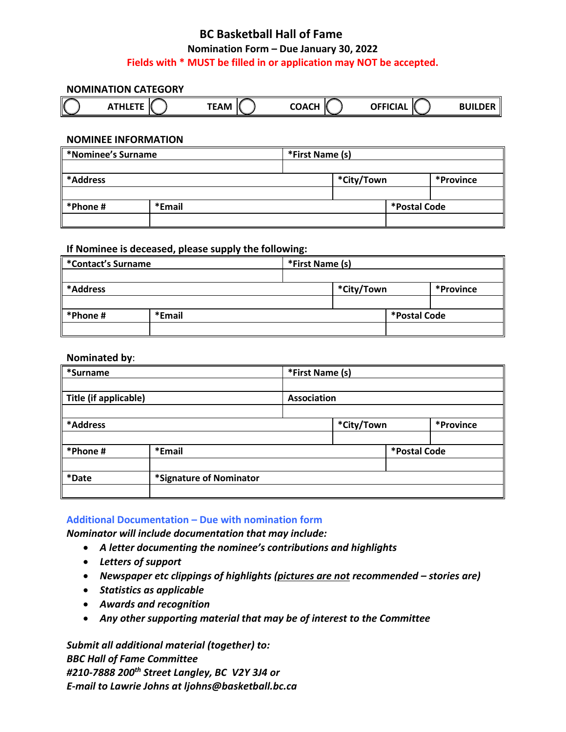# **BC Basketball Hall of Fame**

## **Nomination Form – Due January 30, 2022**

**Fields with \* MUST be filled in or application may NOT be accepted.**

# **NOMINATION CATEGORY ATHLETE TEAM COACH OFFICIAL BUILDER**

## **NOMINEE INFORMATION**

| *Nominee's Surname |        | *First Name (s) |            |              |           |
|--------------------|--------|-----------------|------------|--------------|-----------|
|                    |        |                 |            |              |           |
| *Address*          |        |                 | *City/Town |              | *Province |
|                    |        |                 |            |              |           |
| *Phone #           | *Email |                 |            | *Postal Code |           |
|                    |        |                 |            |              |           |

#### **If Nominee is deceased, please supply the following:**

| ∥ *Contact's Surname |        | *First Name (s) |            |              |           |
|----------------------|--------|-----------------|------------|--------------|-----------|
|                      |        |                 |            |              |           |
| ∥ *Address           |        |                 | *City/Town |              | *Province |
|                      |        |                 |            |              |           |
| $\parallel$ *Phone # | *Email |                 |            | *Postal Code |           |
|                      |        |                 |            |              |           |

#### **Nominated by**:

| *Surname              |                         | *First Name (s)    |              |  |           |
|-----------------------|-------------------------|--------------------|--------------|--|-----------|
|                       |                         |                    |              |  |           |
| Title (if applicable) |                         | <b>Association</b> |              |  |           |
|                       |                         |                    |              |  |           |
| *Address              |                         |                    | *City/Town   |  | *Province |
|                       |                         |                    |              |  |           |
| *Phone #              | *Email                  |                    | *Postal Code |  |           |
|                       |                         |                    |              |  |           |
| *Date                 | *Signature of Nominator |                    |              |  |           |
|                       |                         |                    |              |  |           |

## **Additional Documentation – Due with nomination form**

*Nominator will include documentation that may include:*

- *A letter documenting the nominee's contributions and highlights*
- *Letters of support*
- *Newspaper etc clippings of highlights (pictures are not recommended stories are)*
- *Statistics as applicable*
- *Awards and recognition*
- *Any other supporting material that may be of interest to the Committee*

*Submit all additional material (together) to: BBC Hall of Fame Committee #210-7888 200th Street Langley, BC V2Y 3J4 or E-mail to Lawrie Johns at ljohns@basketball.bc.ca*